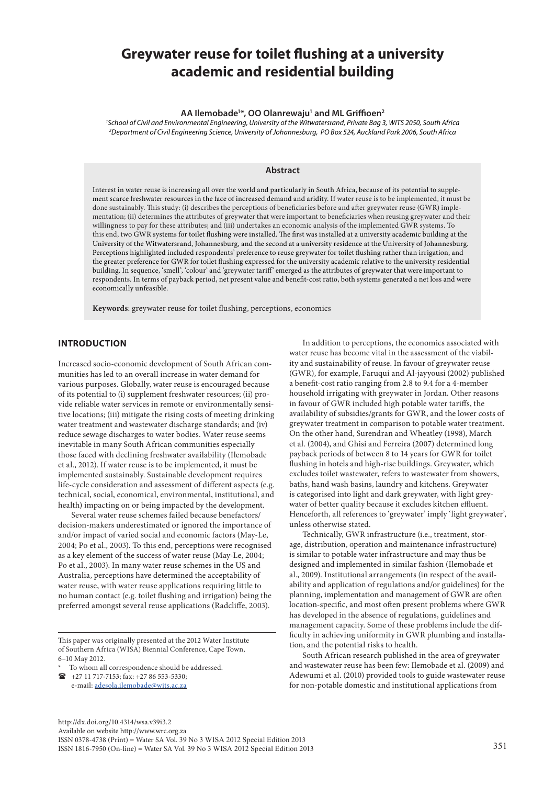# **Greywater reuse for toilet flushing at a university academic and residential building**

#### **AA Ilemobade1 \*, OO Olanrewaju1 and ML Griffioen2**

*1 School of Civil and Environmental Engineering, University of the Witwatersrand, Private Bag 3, WITS 2050, South Africa 2 Department of Civil Engineering Science, University of Johannesburg, PO Box 524, Auckland Park 2006, South Africa*

## **Abstract**

Interest in water reuse is increasing all over the world and particularly in South Africa, because of its potential to supplement scarce freshwater resources in the face of increased demand and aridity. If water reuse is to be implemented, it must be done sustainably. This study: (i) describes the perceptions of beneficiaries before and after greywater reuse (GWR) implementation; (ii) determines the attributes of greywater that were important to beneficiaries when reusing greywater and their willingness to pay for these attributes; and (iii) undertakes an economic analysis of the implemented GWR systems. To this end, two GWR systems for toilet flushing were installed. The first was installed at a university academic building at the University of the Witwatersrand, Johannesburg, and the second at a university residence at the University of Johannesburg. Perceptions highlighted included respondents' preference to reuse greywater for toilet flushing rather than irrigation, and the greater preference for GWR for toilet flushing expressed for the university academic relative to the university residential building. In sequence, 'smell', 'colour' and 'greywater tariff' emerged as the attributes of greywater that were important to respondents. In terms of payback period, net present value and benefit-cost ratio, both systems generated a net loss and were economically unfeasible.

**Keywords**: greywater reuse for toilet flushing, perceptions, economics

# **INTRODUCTION**

Increased socio-economic development of South African communities has led to an overall increase in water demand for various purposes. Globally, water reuse is encouraged because of its potential to (i) supplement freshwater resources; (ii) provide reliable water services in remote or environmentally sensitive locations; (iii) mitigate the rising costs of meeting drinking water treatment and wastewater discharge standards; and (iv) reduce sewage discharges to water bodies. Water reuse seems inevitable in many South African communities especially those faced with declining freshwater availability (Ilemobade et al., 2012). If water reuse is to be implemented, it must be implemented sustainably. Sustainable development requires life-cycle consideration and assessment of different aspects (e.g. technical, social, economical, environmental, institutional, and health) impacting on or being impacted by the development.

Several water reuse schemes failed because benefactors/ decision-makers underestimated or ignored the importance of and/or impact of varied social and economic factors (May-Le, 2004; Po et al., 2003). To this end, perceptions were recognised as a key element of the success of water reuse (May-Le, 2004; Po et al., 2003). In many water reuse schemes in the US and Australia, perceptions have determined the acceptability of water reuse, with water reuse applications requiring little to no human contact (e.g. toilet flushing and irrigation) being the preferred amongst several reuse applications (Radcliffe, 2003).

- To whom all correspondence should be addressed.
- $\bullet$  +27 11 717-7153; fax: +27 86 553-5330; e-mail: [adesola.ilemobade@wits.ac.za](mailto:adesola.ilemobade@wits.ac.za)

In addition to perceptions, the economics associated with water reuse has become vital in the assessment of the viability and sustainability of reuse. In favour of greywater reuse (GWR), for example, Faruqui and Al-jayyousi (2002) published a benefit-cost ratio ranging from 2.8 to 9.4 for a 4-member household irrigating with greywater in Jordan. Other reasons in favour of GWR included high potable water tariffs, the availability of subsidies/grants for GWR, and the lower costs of greywater treatment in comparison to potable water treatment. On the other hand, Surendran and Wheatley (1998), March et al. (2004), and Ghisi and Ferreira (2007) determined long payback periods of between 8 to 14 years for GWR for toilet flushing in hotels and high-rise buildings. Greywater, which excludes toilet wastewater, refers to wastewater from showers, baths, hand wash basins, laundry and kitchens. Greywater is categorised into light and dark greywater, with light greywater of better quality because it excludes kitchen effluent. Henceforth, all references to 'greywater' imply 'light greywater', unless otherwise stated.

Technically, GWR infrastructure (i.e., treatment, storage, distribution, operation and maintenance infrastructure) is similar to potable water infrastructure and may thus be designed and implemented in similar fashion (Ilemobade et al., 2009). Institutional arrangements (in respect of the availability and application of regulations and/or guidelines) for the planning, implementation and management of GWR are often location-specific, and most often present problems where GWR has developed in the absence of regulations, guidelines and management capacity. Some of these problems include the difficulty in achieving uniformity in GWR plumbing and installation, and the potential risks to health.

South African research published in the area of greywater and wastewater reuse has been few: Ilemobade et al. (2009) and Adewumi et al. (2010) provided tools to guide wastewater reuse for non-potable domestic and institutional applications from

This paper was originally presented at the 2012 Water Institute of Southern Africa (WISA) Biennial Conference, Cape Town, 6–10 May 2012.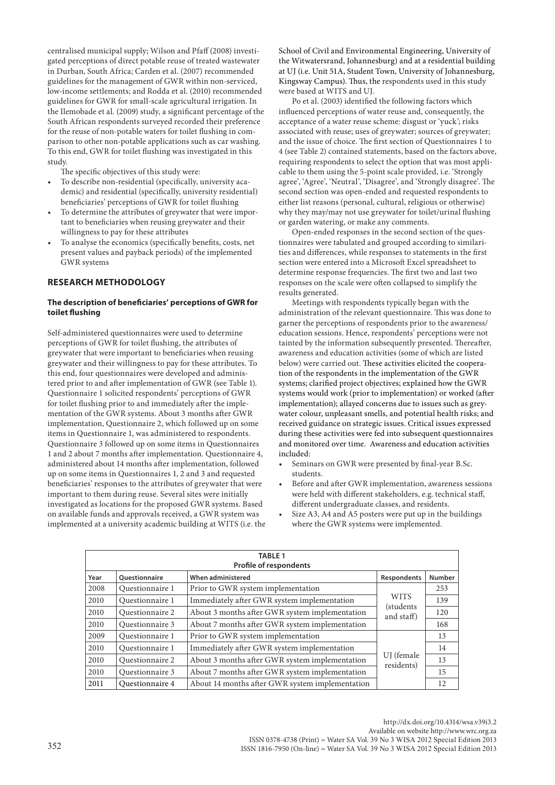centralised municipal supply; Wilson and Pfaff (2008) investigated perceptions of direct potable reuse of treated wastewater in Durban, South Africa; Carden et al. (2007) recommended guidelines for the management of GWR within non-serviced, low-income settlements; and Rodda et al. (2010) recommended guidelines for GWR for small-scale agricultural irrigation. In the Ilemobade et al. (2009) study, a significant percentage of the South African respondents surveyed recorded their preference for the reuse of non-potable waters for toilet flushing in comparison to other non-potable applications such as car washing. To this end, GWR for toilet flushing was investigated in this study.

The specific objectives of this study were:

- To describe non-residential (specifically, university academic) and residential (specifically, university residential) beneficiaries' perceptions of GWR for toilet flushing
- To determine the attributes of greywater that were important to beneficiaries when reusing greywater and their willingness to pay for these attributes
- To analyse the economics (specifically benefits, costs, net present values and payback periods) of the implemented GWR systems

## **RESEARCH METHODOLOGY**

## **The description of beneficiaries' perceptions of GWR for toilet flushing**

Self-administered questionnaires were used to determine perceptions of GWR for toilet flushing, the attributes of greywater that were important to beneficiaries when reusing greywater and their willingness to pay for these attributes. To this end, four questionnaires were developed and administered prior to and after implementation of GWR (see Table 1). Questionnaire 1 solicited respondents' perceptions of GWR for toilet flushing prior to and immediately after the implementation of the GWR systems. About 3 months after GWR implementation, Questionnaire 2, which followed up on some items in Questionnaire 1, was administered to respondents. Questionnaire 3 followed up on some items in Questionnaires 1 and 2 about 7 months after implementation. Questionnaire 4, administered about 14 months after implementation, followed up on some items in Questionnaires 1, 2 and 3 and requested beneficiaries' responses to the attributes of greywater that were important to them during reuse. Several sites were initially investigated as locations for the proposed GWR systems. Based on available funds and approvals received, a GWR system was implemented at a university academic building at WITS (i.e. the School of Civil and Environmental Engineering, University of the Witwatersrand, Johannesburg) and at a residential building at UJ (i.e. Unit 51A, Student Town, University of Johannesburg, Kingsway Campus). Thus, the respondents used in this study were based at WITS and UJ.

Po et al. (2003) identified the following factors which influenced perceptions of water reuse and, consequently, the acceptance of a water reuse scheme: disgust or 'yuck'; risks associated with reuse; uses of greywater; sources of greywater; and the issue of choice. The first section of Questionnaires 1 to 4 (see Table 2) contained statements, based on the factors above, requiring respondents to select the option that was most applicable to them using the 5-point scale provided, i.e. 'Strongly agree', 'Agree', 'Neutral', 'Disagree', and 'Strongly disagree'. The second section was open-ended and requested respondents to either list reasons (personal, cultural, religious or otherwise) why they may/may not use greywater for toilet/urinal flushing or garden watering, or make any comments.

Open-ended responses in the second section of the questionnaires were tabulated and grouped according to similarities and differences, while responses to statements in the first section were entered into a Microsoft Excel spreadsheet to determine response frequencies. The first two and last two responses on the scale were often collapsed to simplify the results generated.

Meetings with respondents typically began with the administration of the relevant questionnaire. This was done to garner the perceptions of respondents prior to the awareness/ education sessions. Hence, respondents' perceptions were not tainted by the information subsequently presented. Thereafter, awareness and education activities (some of which are listed below) were carried out. These activities elicited the cooperation of the respondents in the implementation of the GWR systems; clarified project objectives; explained how the GWR systems would work (prior to implementation) or worked (after implementation); allayed concerns due to issues such as greywater colour, unpleasant smells, and potential health risks; and received guidance on strategic issues. Critical issues expressed during these activities were fed into subsequent questionnaires and monitored over time. Awareness and education activities included:

- Seminars on GWR were presented by final-year B.Sc. students.
- Before and after GWR implementation, awareness sessions were held with different stakeholders, e.g. technical staff, different undergraduate classes, and residents.
- Size A3, A4 and A5 posters were put up in the buildings where the GWR systems were implemented.

| <b>TABLE 1</b><br>Profile of respondents |                      |                                                 |                          |               |  |  |  |  |  |  |  |
|------------------------------------------|----------------------|-------------------------------------------------|--------------------------|---------------|--|--|--|--|--|--|--|
| Year                                     | <b>Ouestionnaire</b> | When administered                               | Respondents              | <b>Number</b> |  |  |  |  |  |  |  |
| 2008                                     | Questionnaire 1      | Prior to GWR system implementation              |                          | 253           |  |  |  |  |  |  |  |
| 2010                                     | Questionnaire 1      | Immediately after GWR system implementation     | <b>WITS</b>              | 139           |  |  |  |  |  |  |  |
| 2010                                     | Questionnaire 2      | About 3 months after GWR system implementation  | (students)<br>and staff) | 120           |  |  |  |  |  |  |  |
| 2010                                     | Questionnaire 3      | About 7 months after GWR system implementation  |                          | 168           |  |  |  |  |  |  |  |
| 2009                                     | Questionnaire 1      | Prior to GWR system implementation              |                          | 13            |  |  |  |  |  |  |  |
| 2010                                     | Questionnaire 1      | Immediately after GWR system implementation     |                          | 14            |  |  |  |  |  |  |  |
| 2010                                     | Questionnaire 2      | About 3 months after GWR system implementation  | UJ (female<br>residents) | 13            |  |  |  |  |  |  |  |
| 2010                                     | Questionnaire 3      | About 7 months after GWR system implementation  |                          | 15            |  |  |  |  |  |  |  |
| 2011                                     | Ouestionnaire 4      | About 14 months after GWR system implementation |                          | 12            |  |  |  |  |  |  |  |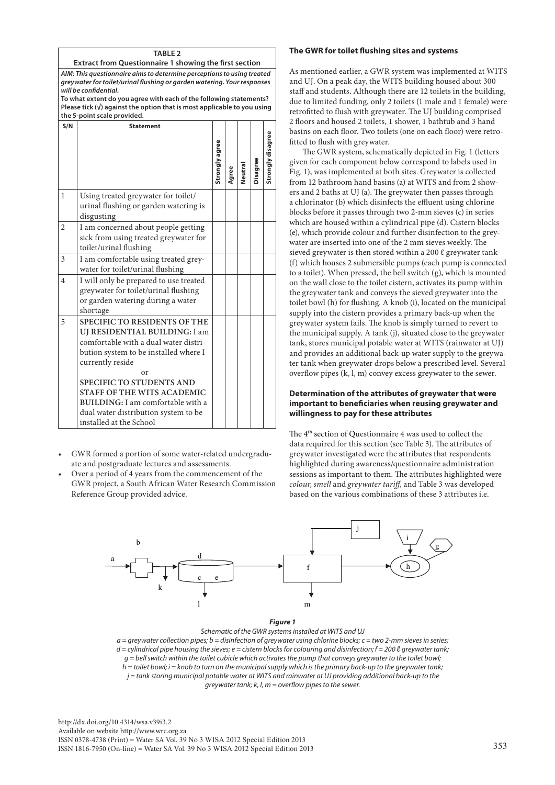#### **TABLE 2**

**Extract from Questionnaire 1 showing the first section**

*AIM: This questionnaire aims to determine perceptions to using treated greywater for toilet/urinal flushing or garden watering. Your responses will be confidential.*

**To what extent do you agree with each of the following statements? Please tick (√) against the option that is most applicable to you using the 5-point scale provided.**

| S/N            | <b>Statement</b>                                                                                                                                                                                                                                                                                                                                                 |                |       |         |          |                   |
|----------------|------------------------------------------------------------------------------------------------------------------------------------------------------------------------------------------------------------------------------------------------------------------------------------------------------------------------------------------------------------------|----------------|-------|---------|----------|-------------------|
|                |                                                                                                                                                                                                                                                                                                                                                                  | Strongly agree | Agree | Neutral | Disagree | Strongly disagree |
| $\mathbf{1}$   | Using treated greywater for toilet/<br>urinal flushing or garden watering is<br>disgusting                                                                                                                                                                                                                                                                       |                |       |         |          |                   |
| $\overline{2}$ | I am concerned about people getting<br>sick from using treated greywater for<br>toilet/urinal flushing                                                                                                                                                                                                                                                           |                |       |         |          |                   |
| 3              | I am comfortable using treated grey-<br>water for toilet/urinal flushing                                                                                                                                                                                                                                                                                         |                |       |         |          |                   |
| $\overline{4}$ | I will only be prepared to use treated<br>greywater for toilet/urinal flushing<br>or garden watering during a water<br>shortage                                                                                                                                                                                                                                  |                |       |         |          |                   |
| 5              | <b>SPECIFIC TO RESIDENTS OF THE</b><br><b>UJ RESIDENTIAL BUILDING: I am</b><br>comfortable with a dual water distri-<br>bution system to be installed where I<br>currently reside<br>or<br><b>SPECIFIC TO STUDENTS AND</b><br>STAFF OF THE WITS ACADEMIC<br>BUILDING: I am comfortable with a<br>dual water distribution system to be<br>installed at the School |                |       |         |          |                   |

- GWR formed a portion of some water-related undergraduate and postgraduate lectures and assessments.
- Over a period of 4 years from the commencement of the GWR project, a South African Water Research Commission Reference Group provided advice.

#### **The GWR for toilet flushing sites and systems**

As mentioned earlier, a GWR system was implemented at WITS and UJ. On a peak day, the WITS building housed about 300 staff and students. Although there are 12 toilets in the building, due to limited funding, only 2 toilets (1 male and 1 female) were retrofitted to flush with greywater. The UJ building comprised 2 floors and housed 2 toilets, 1 shower, 1 bathtub and 3 hand basins on each floor. Two toilets (one on each floor) were retrofitted to flush with greywater.

The GWR system, schematically depicted in Fig. 1 (letters given for each component below correspond to labels used in Fig. 1), was implemented at both sites. Greywater is collected from 12 bathroom hand basins (a) at WITS and from 2 showers and 2 baths at UJ (a). The greywater then passes through a chlorinator (b) which disinfects the effluent using chlorine blocks before it passes through two 2-mm sieves (c) in series which are housed within a cylindrical pipe (d). Cistern blocks (e), which provide colour and further disinfection to the greywater are inserted into one of the 2 mm sieves weekly. The sieved greywater is then stored within a 200 ℓ greywater tank (f) which houses 2 submersible pumps (each pump is connected to a toilet). When pressed, the bell switch (g), which is mounted on the wall close to the toilet cistern, activates its pump within the greywater tank and conveys the sieved greywater into the toilet bowl (h) for flushing. A knob (i), located on the municipal supply into the cistern provides a primary back-up when the greywater system fails. The knob is simply turned to revert to the municipal supply. A tank (j), situated close to the greywater tank, stores municipal potable water at WITS (rainwater at UJ) and provides an additional back-up water supply to the greywater tank when greywater drops below a prescribed level. Several overflow pipes (k, l, m) convey excess greywater to the sewer.

## **Determination of the attributes of greywater that were important to beneficiaries when reusing greywater and willingness to pay for these attributes**

The 4th section of Questionnaire 4 was used to collect the data required for this section (see Table 3). The attributes of greywater investigated were the attributes that respondents highlighted during awareness/questionnaire administration sessions as important to them. The attributes highlighted were *colour*, *smell* and *greywater tariff*, and Table 3 was developed based on the various combinations of these 3 attributes i.e.



*Figure 1*

*Schematic of the GWR systems installed at WITS and UJ*

*a = greywater collection pipes; b = disinfection of greywater using chlorine blocks; c = two 2-mm sieves in series; d = cylindrical pipe housing the sieves; e = cistern blocks for colouring and disinfection; f = 200 ℓ greywater tank; g = bell switch within the toilet cubicle which activates the pump that conveys greywater to the toilet bowl; h = toilet bowl; i = knob to turn on the municipal supply which is the primary back-up to the greywater tank; j = tank storing municipal potable water at WITS and rainwater at UJ providing additional back-up to the greywater tank; k, l, m = overflow pipes to the sewer.*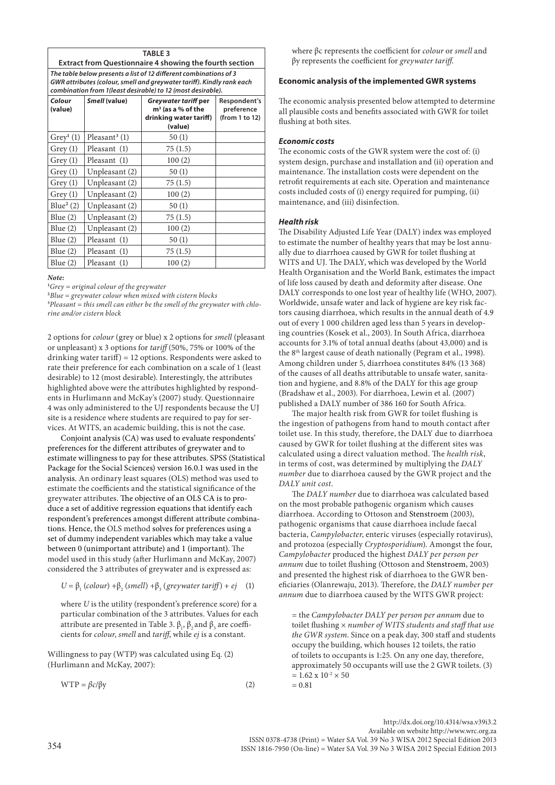| <b>TABLE 3</b>                                                                                                                                                                                            |                             |                                                                                  |                                              |  |  |  |  |  |  |  |
|-----------------------------------------------------------------------------------------------------------------------------------------------------------------------------------------------------------|-----------------------------|----------------------------------------------------------------------------------|----------------------------------------------|--|--|--|--|--|--|--|
| <b>Extract from Questionnaire 4 showing the fourth section</b>                                                                                                                                            |                             |                                                                                  |                                              |  |  |  |  |  |  |  |
| The table below presents a list of 12 different combinations of 3<br>GWR attributes (colour, smell and greywater tariff). Kindly rank each<br>combination from 1(least desirable) to 12 (most desirable). |                             |                                                                                  |                                              |  |  |  |  |  |  |  |
| Colour<br>(value)                                                                                                                                                                                         | Smell (value)               | Greywater tariff per<br>$m3$ (as a % of the<br>drinking water tariff)<br>(value) | Respondent's<br>preference<br>(from 1 to 12) |  |  |  |  |  |  |  |
| $Grey1$ (1)                                                                                                                                                                                               | Pleasant <sup>3</sup> $(1)$ | 50(1)                                                                            |                                              |  |  |  |  |  |  |  |
| Grey(1)                                                                                                                                                                                                   | Pleasant (1)                | 75 (1.5)                                                                         |                                              |  |  |  |  |  |  |  |
| Grey(1)                                                                                                                                                                                                   | Pleasant $(1)$              | 100(2)                                                                           |                                              |  |  |  |  |  |  |  |
| Grey(1)                                                                                                                                                                                                   | Unpleasant (2)              | 50(1)                                                                            |                                              |  |  |  |  |  |  |  |
| Grey(1)                                                                                                                                                                                                   | Unpleasant (2)              | 75(1.5)                                                                          |                                              |  |  |  |  |  |  |  |
| Grey(1)                                                                                                                                                                                                   | Unpleasant (2)              | 100(2)                                                                           |                                              |  |  |  |  |  |  |  |
| Blue <sup>2</sup> $(2)$                                                                                                                                                                                   | Unpleasant (2)              | 50(1)                                                                            |                                              |  |  |  |  |  |  |  |
| Blue $(2)$                                                                                                                                                                                                | Unpleasant (2)              | 75(1.5)                                                                          |                                              |  |  |  |  |  |  |  |
| Blue $(2)$                                                                                                                                                                                                | Unpleasant (2)              | 100(2)                                                                           |                                              |  |  |  |  |  |  |  |
| Blue $(2)$                                                                                                                                                                                                | Pleasant (1)                | 50(1)                                                                            |                                              |  |  |  |  |  |  |  |
| Blue $(2)$                                                                                                                                                                                                | Pleasant $(1)$              | 75 (1.5)                                                                         |                                              |  |  |  |  |  |  |  |
| Blue $(2)$                                                                                                                                                                                                | Pleasant (1)                | 100(2)                                                                           |                                              |  |  |  |  |  |  |  |

#### *Note:*

**1** *Grey = original colour of the greywater*

**2** *Blue = greywater colour when mixed with cistern blocks*

**3** *Pleasant = this smell can either be the smell of the greywater with chlorine and/or cistern block*

2 options for *colour* (grey or blue) x 2 options for *smell* (pleasant or unpleasant) x 3 options for *tariff* (50%, 75% or 100% of the drinking water tariff) = 12 options. Respondents were asked to rate their preference for each combination on a scale of 1 (least desirable) to 12 (most desirable). Interestingly, the attributes highlighted above were the attributes highlighted by respondents in Hurlimann and McKay's (2007) study. Questionnaire 4 was only administered to the UJ respondents because the UJ site is a residence where students are required to pay for services. At WITS, an academic building, this is not the case.

Conjoint analysis (CA) was used to evaluate respondents' preferences for the different attributes of greywater and to estimate willingness to pay for these attributes. SPSS (Statistical Package for the Social Sciences) version 16.0.1 was used in the analysis. An ordinary least squares (OLS) method was used to estimate the coefficients and the statistical significance of the greywater attributes. The objective of an OLS CA is to produce a set of additive regression equations that identify each respondent's preferences amongst different attribute combinations. Hence, the OLS method solves for preferences using a set of dummy independent variables which may take a value between 0 (unimportant attribute) and 1 (important). The model used in this study (after Hurlimann and McKay, 2007) considered the 3 attributes of greywater and is expressed as:

$$
U = \beta_1 \left( \text{colour} \right) + \beta_2 \left( \text{small} \right) + \beta_3 \left( \text{greywater tariff} \right) + ej \quad (1)
$$

where *U* is the utility (respondent's preference score) for a particular combination of the 3 attributes. Values for each attribute are presented in Table 3.  $\beta_1$ ,  $\beta_2$  and  $\beta_3$  are coefficients for *colour*, *smell* and *tariff*, while *ej* is a constant.

Willingness to pay (WTP) was calculated using Eq. (2) (Hurlimann and McKay, 2007):

$$
WTP = \beta c/\beta y \tag{2}
$$

where βc represents the coefficient for *colour* or *smell* and βy represents the coefficient for *greywater tariff*.

#### **Economic analysis of the implemented GWR systems**

The economic analysis presented below attempted to determine all plausible costs and benefits associated with GWR for toilet flushing at both sites.

#### *Economic costs*

The economic costs of the GWR system were the cost of: (i) system design, purchase and installation and (ii) operation and maintenance. The installation costs were dependent on the retrofit requirements at each site. Operation and maintenance costs included costs of (i) energy required for pumping, (ii) maintenance, and (iii) disinfection.

#### *Health risk*

The Disability Adjusted Life Year (DALY) index was employed to estimate the number of healthy years that may be lost annually due to diarrhoea caused by GWR for toilet flushing at WITS and UJ. The DALY, which was developed by the World Health Organisation and the World Bank, estimates the impact of life loss caused by death and deformity after disease. One DALY corresponds to one lost year of healthy life (WHO, 2007). Worldwide, unsafe water and lack of hygiene are key risk factors causing diarrhoea, which results in the annual death of 4.9 out of every 1 000 children aged less than 5 years in developing countries (Kosek et al., 2003). In South Africa, diarrhoea accounts for 3.1% of total annual deaths (about 43,000) and is the 8th largest cause of death nationally (Pegram et al., 1998). Among children under 5, diarrhoea constitutes 84% (13 368) of the causes of all deaths attributable to unsafe water, sanitation and hygiene, and 8.8% of the DALY for this age group (Bradshaw et al., 2003). For diarrhoea, Lewin et al. (2007) published a DALY number of 386 160 for South Africa.

The major health risk from GWR for toilet flushing is the ingestion of pathogens from hand to mouth contact after toilet use. In this study, therefore, the DALY due to diarrhoea caused by GWR for toilet flushing at the different sites was calculated using a direct valuation method. The *health risk*, in terms of cost, was determined by multiplying the *DALY number* due to diarrhoea caused by the GWR project and the *DALY unit cost*.

The *DALY number* due to diarrhoea was calculated based on the most probable pathogenic organism which causes diarrhoea. According to Ottoson and Stenstroem (2003), pathogenic organisms that cause diarrhoea include faecal bacteria, *Campylobacter*, enteric viruses (especially rotavirus), and protozoa (especially *Cryptosporidium*). Amongst the four, *Campylobacter* produced the highest *DALY per person per annum* due to toilet flushing (Ottoson and Stenstroem, 2003) and presented the highest risk of diarrhoea to the GWR beneficiaries (Olanrewaju, 2013). Therefore, the *DALY number per annum* due to diarrhoea caused by the WITS GWR project:

= the *Campylobacter DALY per person per annum* due to toilet flushing × *number of WITS students and staff that use the GWR system*. Since on a peak day, 300 staff and students occupy the building, which houses 12 toilets, the ratio of toilets to occupants is 1:25. On any one day, therefore, approximately 50 occupants will use the 2 GWR toilets. (3)  $= 1.62 \times 10^{-2} \times 50$  $= 0.81$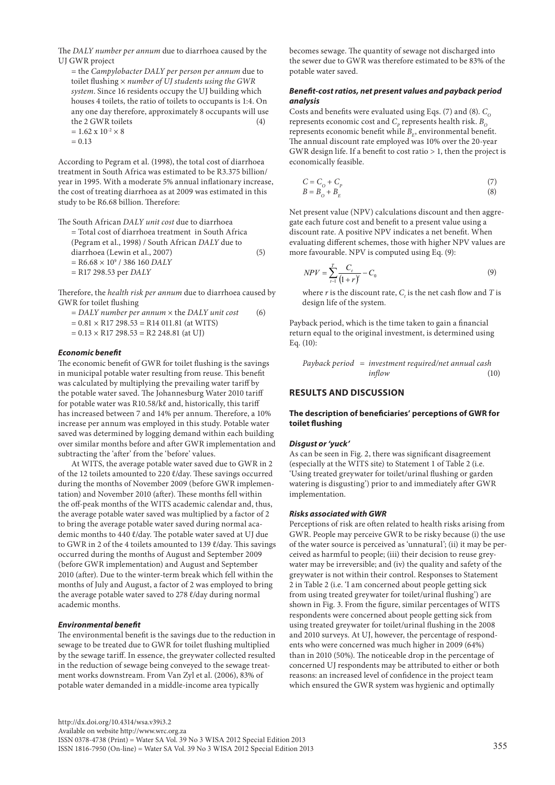The *DALY number per annum* due to diarrhoea caused by the UJ GWR project

= the *Campylobacter DALY per person per annum* due to toilet flushing × *number of UJ students using the GWR system*. Since 16 residents occupy the UJ building which houses 4 toilets, the ratio of toilets to occupants is 1:4. On any one day therefore, approximately 8 occupants will use the 2 GWR toilets (4)

 $= 1.62 \times 10^{-2} \times 8$ 

 $= 0.13$ 

According to Pegram et al. (1998), the total cost of diarrhoea treatment in South Africa was estimated to be R3.375 billion/ year in 1995. With a moderate 5% annual inflationary increase, the cost of treating diarrhoea as at 2009 was estimated in this study to be R6.68 billion. Therefore:

The South African *DALY unit cost* due to diarrhoea

= Total cost of diarrhoea treatment in South Africa (Pegram et al., 1998) / South African *DALY* due to diarrhoea (Lewin et al., 2007) (5)  $=$  R6.68  $\times$  10<sup>9</sup> / 386 160 *DALY* = R17 298.53 per *DALY*

Therefore, the *health risk per annum* due to diarrhoea caused by GWR for toilet flushing

 $=$  *DALY number per annum*  $\times$  the *DALY unit cost* (6)  $= 0.81 \times R17298.53 = R14011.81$  (at WITS)

 $= 0.13 \times R17 298.53 = R2 248.81$  (at UJ)

#### *Economic benefit*

The economic benefit of GWR for toilet flushing is the savings in municipal potable water resulting from reuse. This benefit was calculated by multiplying the prevailing water tariff by the potable water saved. The Johannesburg Water 2010 tariff for potable water was R10.58/kℓ and, historically, this tariff has increased between 7 and 14% per annum. Therefore, a 10% increase per annum was employed in this study. Potable water saved was determined by logging demand within each building over similar months before and after GWR implementation and subtracting the 'after' from the 'before' values.

At WITS, the average potable water saved due to GWR in 2 of the 12 toilets amounted to 220 ℓ/day. These savings occurred during the months of November 2009 (before GWR implementation) and November 2010 (after). These months fell within the off-peak months of the WITS academic calendar and, thus, the average potable water saved was multiplied by a factor of 2 to bring the average potable water saved during normal academic months to 440 ℓ/day. The potable water saved at UJ due to GWR in 2 of the 4 toilets amounted to 139 ℓ/day. This savings occurred during the months of August and September 2009 (before GWR implementation) and August and September 2010 (after). Due to the winter-term break which fell within the months of July and August, a factor of 2 was employed to bring the average potable water saved to 278 ℓ/day during normal academic months.

#### *Environmental benefit*

The environmental benefit is the savings due to the reduction in sewage to be treated due to GWR for toilet flushing multiplied by the sewage tariff. In essence, the greywater collected resulted in the reduction of sewage being conveyed to the sewage treatment works downstream. From Van Zyl et al. (2006), 83% of potable water demanded in a middle-income area typically

becomes sewage. The quantity of sewage not discharged into the sewer due to GWR was therefore estimated to be 83% of the potable water saved.

## *Benefit-cost ratios, net present values and payback period analysis*

Costs and benefits were evaluated using Eqs. (7) and (8).  $C_{\alpha}$ represents economic cost and  $C_p$  represents health risk.  $B_{\rm C}$ represents economic benefit while  $B<sub>r</sub>$ , environmental benefit. The annual discount rate employed was 10% over the 20-year GWR design life. If a benefit to cost ratio  $> 1$ , then the project is economically feasible.

$$
C = Co + Cp
$$
  
\n
$$
B = Bo + BE
$$
 (7)

Net present value (NPV) calculations discount and then aggregate each future cost and benefit to a present value using a discount rate. A positive NPV indicates a net benefit. When evaluating different schemes, those with higher NPV values are more favourable. NPV is computed using Eq. (9):

$$
NPV = \sum_{t=1}^{T} \frac{C_t}{(1+r)^t} - C_0
$$
\n(9)

where *r* is the [discount rate,](http://en.wikipedia.org/wiki/Discount_rate)  $C_t$  is the net cash flow and *T* is design life of the system*.*

Payback period, which is the time taken to gain a financial return equal to the original investment, is determined using Eq. (10):

Payback period = investment required/net annual cash

\n
$$
inflow
$$

\n(10)

## **RESULTS AND DISCUSSION**

## **The description of beneficiaries' perceptions of GWR for toilet flushing**

#### *Disgust or 'yuck'*

As can be seen in Fig. 2, there was significant disagreement (especially at the WITS site) to Statement 1 of Table 2 (i.e. 'Using treated greywater for toilet/urinal flushing or garden watering is disgusting') prior to and immediately after GWR implementation.

## *Risks associated with GWR*

Perceptions of risk are often related to health risks arising from GWR. People may perceive GWR to be risky because (i) the use of the water source is perceived as 'unnatural'; (ii) it may be perceived as harmful to people; (iii) their decision to reuse greywater may be irreversible; and (iv) the quality and safety of the greywater is not within their control. Responses to Statement 2 in Table 2 (i.e. 'I am concerned about people getting sick from using treated greywater for toilet/urinal flushing') are shown in Fig. 3. From the figure, similar percentages of WITS respondents were concerned about people getting sick from using treated greywater for toilet/urinal flushing in the 2008 and 2010 surveys. At UJ, however, the percentage of respondents who were concerned was much higher in 2009 (64%) than in 2010 (50%). The noticeable drop in the percentage of concerned UJ respondents may be attributed to either or both reasons: an increased level of confidence in the project team which ensured the GWR system was hygienic and optimally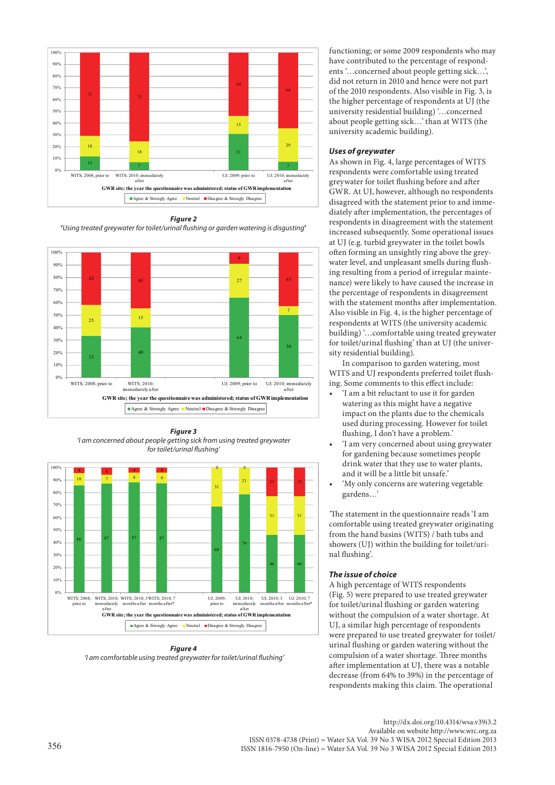

*Figure 2*

**'***Using treated greywater for toilet/urinal flushing or garden watering is disgusting***'**



*Figure 3 'I am concerned about people getting sick from using treated greywater for toilet/urinal flushing'*



#### *Figure 4*

 *'I am comfortable using treated greywater for toilet/urinal flushing'*

functioning; or some 2009 respondents who may have contributed to the percentage of respondents *'*…concerned about people getting sick…', did not return in 2010 and hence were not part of the 2010 respondents. Also visible in Fig. 3, is the higher percentage of respondents at UJ (the university residential building) '…concerned about people getting sick…' than at WITS (the university academic building).

#### *Uses of greywater*

As shown in Fig. 4, large percentages of WITS respondents were comfortable using treated greywater for toilet flushing before and after GWR. At UJ, however, although no respondents disagreed with the statement prior to and immediately after implementation, the percentages of respondents in disagreement with the statement increased subsequently. Some operational issues at UJ (e.g. turbid greywater in the toilet bowls often forming an unsightly ring above the greywater level, and unpleasant smells during flushing resulting from a period of irregular maintenance) were likely to have caused the increase in the percentage of respondents in disagreement with the statement months after implementation. Also visible in Fig. 4, is the higher percentage of respondents at WITS (the university academic building) '…comfortable using treated greywater for toilet/urinal flushing' than at UJ (the university residential building).

In comparison to garden watering, most WITS and UJ respondents preferred toilet flushing. Some comments to this effect include:

- 'I am a bit reluctant to use it for garden watering as this might have a negative impact on the plants due to the chemicals used during processing. However for toilet flushing, I don't have a problem.'
- 'I am very concerned about using greywater for gardening because sometimes people drink water that they use to water plants, and it will be a little bit unsafe.'
- 'My only concerns are watering vegetable gardens…'

*\** The statement in the questionnaire reads 'I am comfortable using treated greywater originating from the hand basins (WITS) / bath tubs and showers (UJ) within the building for toilet/urinal flushing'.

#### *The issue of choice*

A high percentage of WITS respondents (Fig. 5) were prepared to use treated greywater for toilet/urinal flushing or garden watering without the compulsion of a water shortage. At UJ, a similar high percentage of respondents were prepared to use treated greywater for toilet/ urinal flushing or garden watering without the compulsion of a water shortage. Three months after implementation at UJ, there was a notable decrease (from 64% to 39%) in the percentage of respondents making this claim. The operational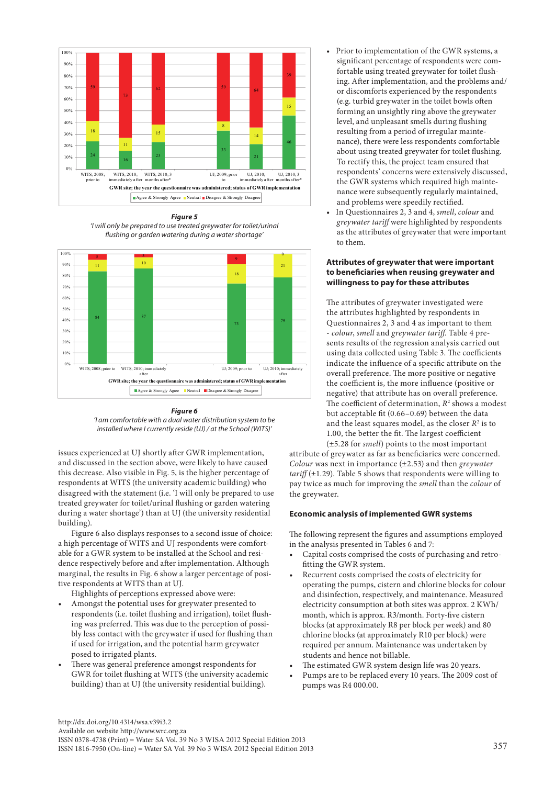

*Figure 5 'I will only be prepared to use treated greywater for toilet/urinal flushing or garden watering during a water shortage'*



## *Figure 6*

*'I am comfortable with a dual water distribution system to be installed where I currently reside (UJ) / at the School (WITS)'*

issues experienced at UJ shortly after GWR implementation, and discussed in the section above, were likely to have caused this decrease. Also visible in Fig. 5, is the higher percentage of respondents at WITS (the university academic building) who disagreed with the statement (i.e. 'I will only be prepared to use treated greywater for toilet/urinal flushing or garden watering during a water shortage') than at UJ (the university residential building).

Figure 6 also displays responses to a second issue of choice: a high percentage of WITS and UJ respondents were comfortable for a GWR system to be installed at the School and residence respectively before and after implementation. Although marginal, the results in Fig. 6 show a larger percentage of positive respondents at WITS than at UJ.

Highlights of perceptions expressed above were:

- Amongst the potential uses for greywater presented to respondents (i.e. toilet flushing and irrigation), toilet flushing was preferred. This was due to the perception of possibly less contact with the greywater if used for flushing than if used for irrigation, and the potential harm greywater posed to irrigated plants.
- There was general preference amongst respondents for GWR for toilet flushing at WITS (the university academic building) than at UJ (the university residential building).
- Prior to implementation of the GWR systems, a significant percentage of respondents were comfortable using treated greywater for toilet flushing. After implementation, and the problems and/ or discomforts experienced by the respondents (e.g. turbid greywater in the toilet bowls often forming an unsightly ring above the greywater level, and unpleasant smells during flushing resulting from a period of irregular maintenance), there were less respondents comfortable about using treated greywater for toilet flushing. To rectify this, the project team ensured that respondents' concerns were extensively discussed, the GWR systems which required high maintenance were subsequently regularly maintained, and problems were speedily rectified.
- In Questionnaires 2, 3 and 4, *smell*, *colour* and *greywater tariff* were highlighted by respondents as the attributes of greywater that were important to them.

## **Attributes of greywater that were important to beneficiaries when reusing greywater and willingness to pay for these attributes**

The attributes of greywater investigated were the attributes highlighted by respondents in Questionnaires 2, 3 and 4 as important to them - *colour*, *smell* and *greywater tariff*. Table 4 presents results of the regression analysis carried out using data collected using Table 3. The coefficients indicate the influence of a specific attribute on the overall preference. The more positive or negative the coefficient is, the more influence (positive or negative) that attribute has on overall preference. The coefficient of determination,  $R^2$  shows a modest but acceptable fit (0.66–0.69) between the data and the least squares model, as the closer  $R^2$  is to 1.00, the better the fit. The largest coefficient (±5.28 for *smell*) points to the most important

attribute of greywater as far as beneficiaries were concerned. *Colour* was next in importance (±2.53) and then *greywater tariff* ( $\pm$ 1.29). Table 5 shows that respondents were willing to pay twice as much for improving the *smell* than the *colour* of the greywater.

## **Economic analysis of implemented GWR systems**

The following represent the figures and assumptions employed in the analysis presented in Tables 6 and 7:

- Capital costs comprised the costs of purchasing and retrofitting the GWR system.
- Recurrent costs comprised the costs of electricity for operating the pumps, cistern and chlorine blocks for colour and disinfection, respectively, and maintenance. Measured electricity consumption at both sites was approx. 2 KWh/ month, which is approx. R3/month. Forty-five cistern blocks (at approximately R8 per block per week) and 80 chlorine blocks (at approximately R10 per block) were required per annum. Maintenance was undertaken by students and hence not billable.
- The estimated GWR system design life was 20 years.
- Pumps are to be replaced every 10 years. The 2009 cost of pumps was R4 000.00.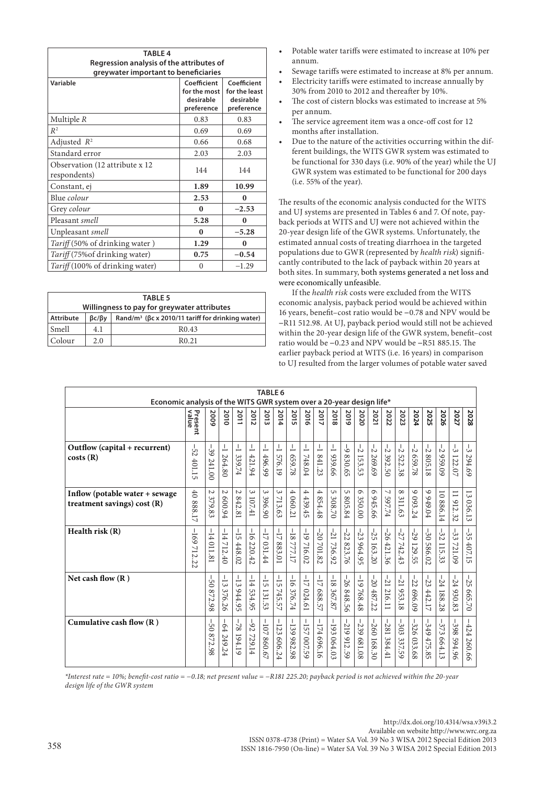| <b>TABLE 4</b>                                  |                                                        |                                                         |  |  |  |  |  |  |  |  |
|-------------------------------------------------|--------------------------------------------------------|---------------------------------------------------------|--|--|--|--|--|--|--|--|
| Regression analysis of the attributes of        |                                                        |                                                         |  |  |  |  |  |  |  |  |
| greywater important to beneficiaries            |                                                        |                                                         |  |  |  |  |  |  |  |  |
| Variable                                        | Coefficient<br>for the most<br>desirable<br>preference | Coefficient<br>for the least<br>desirable<br>preference |  |  |  |  |  |  |  |  |
| Multiple R                                      | 0.83                                                   | 0.83                                                    |  |  |  |  |  |  |  |  |
| $R^2$                                           | 0.69                                                   | 0.69                                                    |  |  |  |  |  |  |  |  |
| Adjusted $R^2$                                  | 0.66                                                   | 0.68                                                    |  |  |  |  |  |  |  |  |
| Standard error                                  | 2.03                                                   | 2.03                                                    |  |  |  |  |  |  |  |  |
| Observation (12 attribute x 12)<br>respondents) | 144                                                    | 144                                                     |  |  |  |  |  |  |  |  |
| Constant, ej                                    | 1.89                                                   | 10.99                                                   |  |  |  |  |  |  |  |  |
| Blue colour                                     | 2.53                                                   | $\bf{0}$                                                |  |  |  |  |  |  |  |  |
| Grey colour                                     | 0                                                      | $-2.53$                                                 |  |  |  |  |  |  |  |  |
| Pleasant smell                                  | 5.28                                                   | $\bf{0}$                                                |  |  |  |  |  |  |  |  |
| Unpleasant smell                                | 0                                                      | $-5.28$                                                 |  |  |  |  |  |  |  |  |
| Tariff (50% of drinking water)                  | 1.29                                                   | $\bf{0}$                                                |  |  |  |  |  |  |  |  |
| Tariff (75% of drinking water)                  | 0.75                                                   | $-0.54$                                                 |  |  |  |  |  |  |  |  |
| Tariff (100% of drinking water)                 | 0                                                      | $-1.29$                                                 |  |  |  |  |  |  |  |  |

| <b>TABLE 5</b><br>Willingness to pay for greywater attributes |                      |                                                                      |  |  |  |  |  |  |  |  |  |  |
|---------------------------------------------------------------|----------------------|----------------------------------------------------------------------|--|--|--|--|--|--|--|--|--|--|
| Attribute                                                     | $\beta$ c/ $\beta$ y | Rand/m <sup>3</sup> ( $\beta$ c x 2010/11 tariff for drinking water) |  |  |  |  |  |  |  |  |  |  |
| Smell                                                         | 4.1                  | R <sub>0.43</sub>                                                    |  |  |  |  |  |  |  |  |  |  |
| Colour                                                        | 2.0                  | R <sub>0.21</sub>                                                    |  |  |  |  |  |  |  |  |  |  |

- Potable water tariffs were estimated to increase at 10% per annum.
- Sewage tariffs were estimated to increase at 8% per annum.
- Electricity tariffs were estimated to increase annually by 30% from 2010 to 2012 and thereafter by 10%.
- The cost of cistern blocks was estimated to increase at 5% per annum.
- The service agreement item was a once-off cost for 12 months after installation.
- Due to the nature of the activities occurring within the different buildings, the WITS GWR system was estimated to be functional for 330 days (i.e. 90% of the year) while the UJ GWR system was estimated to be functional for 200 days (i.e. 55% of the year).

The results of the economic analysis conducted for the WITS and UJ systems are presented in Tables 6 and 7. Of note, payback periods at WITS and UJ were not achieved within the 20-year design life of the GWR systems. Unfortunately, the estimated annual costs of treating diarrhoea in the targeted populations due to GWR (represented by *health risk*) significantly contributed to the lack of payback within 20 years at both sites. In summary, both systems generated a net loss and were economically unfeasible.

If the *health risk* costs were excluded from the WITS economic analysis, payback period would be achieved within 16 years, benefit–cost ratio would be **−**0.78 and NPV would be **−**R11 512.98. At UJ, payback period would still not be achieved within the 20-year design life of the GWR system, benefit–cost ratio would be **−**0.23 and NPV would be **−**R51 885.15. The earlier payback period at WITS (i.e. 16 years) in comparison to UJ resulted from the larger volumes of potable water saved

|                                                               | <b>TABLE 6</b><br>Economic analysis of the WITS GWR system over a 20-year design life* |                  |                            |                  |                             |                             |                         |                  |                 |                         |                 |                      |                        |                                |                                    |                                |                                 |                                |                  |                        |                     |
|---------------------------------------------------------------|----------------------------------------------------------------------------------------|------------------|----------------------------|------------------|-----------------------------|-----------------------------|-------------------------|------------------|-----------------|-------------------------|-----------------|----------------------|------------------------|--------------------------------|------------------------------------|--------------------------------|---------------------------------|--------------------------------|------------------|------------------------|---------------------|
|                                                               | value<br>Present                                                                       | 5002             | 2010                       | 2011             | 2012                        | 2013                        | 2014                    | 2015             | 2016            | 2017                    | 2018            | 2019                 | 2020                   | 2021                           | 2022                               | 2023                           | 2024                            | 2025                           | 2026             | 2027                   | 2028                |
| Outflow (capital + recurrent)<br>costs(R)                     | $-52$<br>401.15                                                                        | $-39$<br>241.00  | ىت<br>264.80               | ݔ<br>339.74      | ىت<br>421.94                | Τ<br>496.99                 | ض<br>576.19             | 1659.78          | ⊥<br>$748.04$   | ⊥<br>841.23             | Ļ<br>939.66     | $\sim$<br>830.65     | 7<br>153.53            | $\frac{1}{\sqrt{2}}$<br>269.69 | $\frac{1}{\sqrt{2}}$<br>392.50     | $\frac{1}{\sqrt{2}}$<br>522.38 | $\frac{1}{\sqrt{2}}$<br>87.9378 | $\frac{1}{\sqrt{2}}$<br>805.18 | 7<br>629.09      | لئ<br>122.07           | 73<br>294.69        |
| Inflow (potable water + sewage<br>treatment savings) cost (R) | $40\,$<br>888.17                                                                       | $\sim$<br>379.83 | N<br>600.94                | $\sim$<br>842.81 | $\mathbf{\omega}$<br>107.41 | $\mathbf{\omega}$<br>396.90 | $\omega$<br>713.63      | 4 060.21         | 4 439.45        | 4<br>854.48             | S<br>$308.70$   | G<br>805.84          | $\mathsf{D}$<br>350.00 | $\mathsf{O}$<br>945.66         | $\overline{\phantom{0}}$<br>597.74 | $\infty$<br>311.63             | 9 093.24                        | 9949.04                        | 10 886.14        | $\equiv$<br>216<br>:32 | 13<br>036.13        |
| Health risk (R)                                               | $-169$<br>712<br>:22                                                                   | $-14011.81$      | $-14$<br>712<br>.40        | $-15$<br>448.02  | $-16$<br>220.42             | $-17031.44$                 | $\frac{1}{2}$<br>883.01 | $-18$<br>777.17  | $-10$<br>116.02 | $-20\,701.82$           | $-21$<br>736.92 | $-22$<br>823.76      | $-23$<br>964.95        | $-25$<br>163<br>:20            | $-26$<br>421.36                    | $-27$<br>742.43                | $-29$<br>129.55                 | $-30$<br>586.02                | $-32$<br>115.33  | $-33$<br>721.09        | $-35$<br>$-407.15$  |
| Net cash flow $(R)$                                           |                                                                                        | $-50$<br>872.98  | こ<br>376.26                | $-13944.95$      | $-14$<br>534.95             | $-15$<br>131.53             | -15<br>745.57           | $-16$<br>1376.74 | $-17$<br>024.61 | $\frac{1}{2}$<br>788.57 | $-18$<br>367.87 | $-26$<br>848<br>.56  | $-19$<br>768.48        | $-20$<br>1487.22               | $-21$<br>216.11                    | $\overline{12}$<br>953.18      | $-22696.09$                     | $-23$<br>442.17                | $-24188.28$      | $-24$<br>$-930.83$     | $-25$<br>665.70     |
| Cumulative cash flow $(R)$                                    |                                                                                        | $-50$<br>872.98  | $\mathfrak{g}_4$<br>249.24 | $-78$<br>194.19  | $-92$<br>729.14             | $-107860.67$                | $-123$<br>606.24        | $-139982.98$     | -157<br>7007.59 | $-174696.16$            | $-193064.03$    | $-219$<br>912<br>.59 | $-239681.08$           | $-260$<br>168.30               | $-281384.41$                       | $-303$<br>337.59               | $-326033.68$                    | $-349$<br>475.85               | $-373$<br>664.13 | $-398$<br>594.96       | $-424$<br>$-260.66$ |

*\*Interest rate = 10%; benefit-cost ratio = −0.18; net present value = −R181 225.20; payback period is not achieved within the 20-year design life of the GWR system*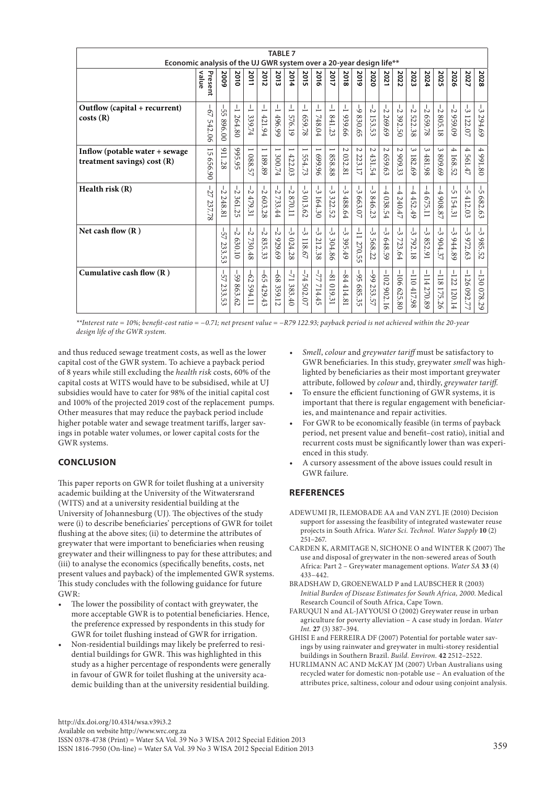|                                                               | <b>TABLE 7</b><br>Economic analysis of the UJ GWR system over a 20-year design life** |                 |              |                         |                                    |              |                          |                  |                 |              |                                                     |                  |                      |                  |                  |                              |                                           |                             |                         |                  |              |
|---------------------------------------------------------------|---------------------------------------------------------------------------------------|-----------------|--------------|-------------------------|------------------------------------|--------------|--------------------------|------------------|-----------------|--------------|-----------------------------------------------------|------------------|----------------------|------------------|------------------|------------------------------|-------------------------------------------|-----------------------------|-------------------------|------------------|--------------|
|                                                               | Present<br>value                                                                      | 5009            | 2010         | 2011                    | 2012                               | 2013         | 2014                     | 2015             | 2016            | 2017         | 2018                                                | 2019             | 2020                 | 2021             | 2022             | 2023                         | 2024                                      | 2025                        | 2026                    | 2027             | 2028         |
| Outflow (capital + recurrent)<br>costs(R)                     | $-67$<br>542.06                                                                       | ŚŚ.<br>896.00   | ⊥<br>264.80  | ے<br>339.74             | ⊥<br>421.94                        | ⊥<br>496.99  | ᆜ<br>576.19              | T<br>87.93       | ⊥<br>748.04     | ⊥<br>841.23  | ⊥<br>939.66                                         | P<br>830.65      | $\sqrt{ }$<br>153.53 | 7<br>269.69      | 5<br>392.50      | 7<br>522.38                  | $\frac{1}{\sqrt{2}}$<br>659.7<br>$\infty$ | 7<br>805.18                 | 7<br>629.09             | لى<br>122.07     | لى<br>294.69 |
| Inflow (potable water + sewage<br>treatment savings) cost (R) | 15<br>06'999                                                                          | 911.28          | 995.95       | 088.57                  | $\overline{\phantom{0}}$<br>189.89 | I<br>300.74  | I<br>422.03              | 554.73           | I<br>96'669     | I<br>858.88  | $\boldsymbol{\mathsf{c}}$<br>032<br>$\overline{81}$ | $\sim$<br>223.17 | $\sim$<br>431.54     | $\sim$<br>659.63 | $\sim$<br>909.33 | $\mathbf{\hat{z}}$<br>182.69 | $\omega$<br>481.98                        | $\mathbf{\omega}$<br>69'608 | $\rightarrow$<br>168.52 | 4<br>561.47      | 4<br>991.80  |
| Health risk (R)                                               | $-27$<br>237.78                                                                       | Ń<br>248.81     | 7<br>361.25  | Ļ<br>479.31             | 7<br>603.28                        | 7<br>733.44  | Ļ<br>11'028              | ႕<br>013.62      | ىك<br>164.30    | J,<br>322.52 | ىك<br>488.64                                        | ႕<br>663.07      | ကိ<br>846.23         | $-4038.54$       | 4<br>240.47      | $-4452.49$                   | 4<br>675.11                               | $^+$<br>808.87              | Ъ<br>154.31             | ს<br>თ<br>412.03 | ι,<br>682.63 |
| Net cash flow $(R)$                                           |                                                                                       | ù,<br>233<br>ΰñ | $-2630.10$   | 5<br>730.48             | 7<br>835.33                        | 5<br>929.69  | ىك<br>024.28             | ကိ<br>$118.67\,$ | ىئ<br>212<br>38 | ှ<br>304.86  | ىئ<br>395.49                                        | $-11270.55$      | ىئ<br>568.22         | ىلى<br>648.59    | ىئ<br>723.64     | ကိ<br>792.18                 | ىئ<br>852.91                              | ႕<br>904.37                 | ىك<br>944.89            | $-3972.63$       | $-3985.52$   |
| Cumulative cash flow $(R)$                                    |                                                                                       | Ý,<br>N<br>33.5 | Ġ.<br>863.62 | $\mathcal{L}$<br>594.11 | Ġ,<br>429.43                       | 89<br>359.12 | $\overline{2}$<br>383.40 | $-74$<br>502.07  | $-77$<br>714.45 | 81 019.31    | 84<br>414.81                                        | $-95$<br>685.35  | $-99$<br>253.57      | $-102902.16$     | $-106$<br>625.80 | 110 417.98                   | 114<br>270.89                             | $-118$<br>175.26            | $-122$<br>120.14        | $-126092.77$     | $-130078.29$ |

*\*\*Interest rate = 10%; benefit-cost ratio = −0.71; net present value = −R79 122.93; payback period is not achieved within the 20-year design life of the GWR system.*

and thus reduced sewage treatment costs, as well as the lower capital cost of the GWR system. To achieve a payback period of 8 years while still excluding the *health risk* costs, 60% of the capital costs at WITS would have to be subsidised, while at UJ subsidies would have to cater for 98% of the initial capital cost and 100% of the projected 2019 cost of the replacement pumps. Other measures that may reduce the payback period include higher potable water and sewage treatment tariffs, larger savings in potable water volumes, or lower capital costs for the GWR systems.

# **CONCLUSION**

This paper reports on GWR for toilet flushing at a university academic building at the University of the Witwatersrand (WITS) and at a university residential building at the University of Johannesburg (UJ). The objectives of the study were (i) to describe beneficiaries' perceptions of GWR for toilet flushing at the above sites; (ii) to determine the attributes of greywater that were important to beneficiaries when reusing greywater and their willingness to pay for these attributes; and (iii) to analyse the economics (specifically benefits, costs, net present values and payback) of the implemented GWR systems. This study concludes with the following guidance for future GWR:

- The lower the possibility of contact with greywater, the more acceptable GWR is to potential beneficiaries. Hence, the preference expressed by respondents in this study for GWR for toilet flushing instead of GWR for irrigation.
- Non-residential buildings may likely be preferred to residential buildings for GWR. This was highlighted in this study as a higher percentage of respondents were generally in favour of GWR for toilet flushing at the university academic building than at the university residential building.
- *• Smell*, *colour* and *greywater tariff* must be satisfactory to GWR beneficiaries. In this study, greywater *smell* was highlighted by beneficiaries as their most important greywater attribute, followed by *colour* and, thirdly, *greywater tariff*.
- To ensure the efficient functioning of GWR systems, it is important that there is regular engagement with beneficiaries, and maintenance and repair activities.
- For GWR to be economically feasible (in terms of payback period, net present value and benefit–cost ratio), initial and recurrent costs must be significantly lower than was experienced in this study.
- A cursory assessment of the above issues could result in GWR failure.

# **REFERENCES**

- ADEWUMI JR, ILEMOBADE AA and VAN ZYL JE (2010) Decision support for assessing the feasibility of integrated wastewater reuse projects in South Africa. *Water Sci. Technol. Water Supply* **10** (2)  $251 - 267$
- CARDEN K, ARMITAGE N, SICHONE O and WINTER K (2007) The use and disposal of greywater in the non-sewered areas of South Africa: Part 2 – Greywater management options. *Water SA* **33** (4) 433–442.

BRADSHAW D, GROENEWALD P and LAUBSCHER R (2003) *Initial Burden of Disease Estimates for South Africa, 2000*. Medical Research Council of South Africa, Cape Town.

- FARUQUI N and AL-JAYYOUSI O (2002) Greywater reuse in urban agriculture for poverty alleviation – A case study in Jordan. *Water Int.* **27** (3) 387–394.
- GHISI E and FERREIRA DF (2007) Potential for portable water savings by using rainwater and greywater in multi-storey residential buildings in Southern Brazil. *Build. Environ.* **42** 2512–2522.
- HURLIMANN AC AND McKAY JM (2007) Urban Australians using recycled water for domestic non-potable use – An evaluation of the attributes price, saltiness, colour and odour using conjoint analysis.